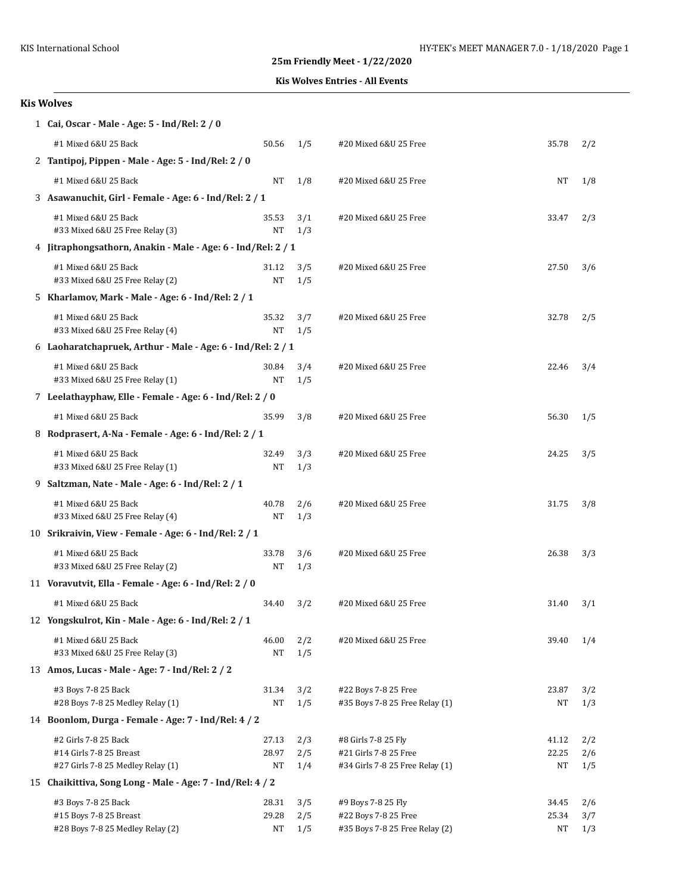**Kis Wolves Entries - All Events**

| 1 Cai, Oscar - Male - Age: 5 - Ind/Rel: 2 / 0                                        |                      |                   |                                                                                 |                      |                   |  |  |  |
|--------------------------------------------------------------------------------------|----------------------|-------------------|---------------------------------------------------------------------------------|----------------------|-------------------|--|--|--|
| #1 Mixed 6&U 25 Back                                                                 | 50.56                | 1/5               | #20 Mixed 6&U 25 Free                                                           | 35.78                | 2/2               |  |  |  |
| 2 Tantipoj, Pippen - Male - Age: 5 - Ind/Rel: 2 / 0                                  |                      |                   |                                                                                 |                      |                   |  |  |  |
| #1 Mixed 6&U 25 Back                                                                 | <b>NT</b>            | 1/8               | #20 Mixed 6&U 25 Free                                                           | NT                   | 1/8               |  |  |  |
| 3 Asawanuchit, Girl - Female - Age: 6 - Ind/Rel: 2 / 1                               |                      |                   |                                                                                 |                      |                   |  |  |  |
| #1 Mixed 6&U 25 Back<br>#33 Mixed 6&U 25 Free Relay (3)                              | 35.53<br>NΤ          | 3/1<br>1/3        | #20 Mixed 6&U 25 Free                                                           | 33.47                | 2/3               |  |  |  |
| 4 Jitraphongsathorn, Anakin - Male - Age: 6 - Ind/Rel: 2 / 1                         |                      |                   |                                                                                 |                      |                   |  |  |  |
| #1 Mixed 6&U 25 Back<br>#33 Mixed 6&U 25 Free Relay (2)                              | 31.12<br>NΤ          | 3/5<br>1/5        | #20 Mixed 6&U 25 Free                                                           | 27.50                | 3/6               |  |  |  |
| 5 Kharlamov, Mark - Male - Age: 6 - Ind/Rel: 2 / 1                                   |                      |                   |                                                                                 |                      |                   |  |  |  |
| #1 Mixed 6&U 25 Back<br>#33 Mixed 6&U 25 Free Relay (4)                              | 35.32<br>NΤ          | 3/7<br>1/5        | #20 Mixed 6&U 25 Free                                                           | 32.78                | 2/5               |  |  |  |
| 6 Laoharatchapruek, Arthur - Male - Age: 6 - Ind/Rel: 2 / 1                          |                      |                   |                                                                                 |                      |                   |  |  |  |
| #1 Mixed 6&U 25 Back<br>#33 Mixed 6&U 25 Free Relay (1)                              | 30.84<br>NT          | 3/4<br>1/5        | #20 Mixed 6&U 25 Free                                                           | 22.46                | 3/4               |  |  |  |
| 7 Leelathayphaw, Elle - Female - Age: 6 - Ind/Rel: 2 / 0                             |                      |                   |                                                                                 |                      |                   |  |  |  |
| #1 Mixed 6&U 25 Back                                                                 | 35.99                | 3/8               | #20 Mixed 6&U 25 Free                                                           | 56.30                | 1/5               |  |  |  |
| 8 Rodprasert, A-Na - Female - Age: 6 - Ind/Rel: 2 / 1                                |                      |                   |                                                                                 |                      |                   |  |  |  |
| #1 Mixed 6&U 25 Back<br>#33 Mixed 6&U 25 Free Relay (1)                              | 32.49<br>NΤ          | 3/3<br>1/3        | #20 Mixed 6&U 25 Free                                                           | 24.25                | 3/5               |  |  |  |
| 9 Saltzman, Nate - Male - Age: 6 - Ind/Rel: 2 / 1                                    |                      |                   |                                                                                 |                      |                   |  |  |  |
| #1 Mixed 6&U 25 Back<br>#33 Mixed 6&U 25 Free Relay (4)                              | 40.78<br>NT          | 2/6<br>1/3        | #20 Mixed 6&U 25 Free                                                           | 31.75                | 3/8               |  |  |  |
| 10 Srikraivin, View - Female - Age: 6 - Ind/Rel: 2 / 1                               |                      |                   |                                                                                 |                      |                   |  |  |  |
| #1 Mixed 6&U 25 Back<br>#33 Mixed 6&U 25 Free Relay (2)                              | 33.78<br>NΤ          | 3/6<br>1/3        | #20 Mixed 6&U 25 Free                                                           | 26.38                | 3/3               |  |  |  |
| 11 Voravutvit, Ella - Female - Age: 6 - Ind/Rel: 2 / 0                               |                      |                   |                                                                                 |                      |                   |  |  |  |
| #1 Mixed 6&U 25 Back                                                                 | 34.40                | 3/2               | #20 Mixed 6&U 25 Free                                                           | 31.40                | 3/1               |  |  |  |
| 12 Yongskulrot, Kin - Male - Age: 6 - Ind/Rel: 2 / 1                                 |                      |                   |                                                                                 |                      |                   |  |  |  |
| #1 Mixed 6&U 25 Back<br>#33 Mixed 6&U 25 Free Relay (3)                              | 46.00<br>NT          | 2/2<br>1/5        | #20 Mixed 6&U 25 Free                                                           | 39.40                | 1/4               |  |  |  |
| 13 Amos, Lucas - Male - Age: 7 - Ind/Rel: 2 / 2                                      |                      |                   |                                                                                 |                      |                   |  |  |  |
| #3 Boys 7-8 25 Back<br>#28 Boys 7-8 25 Medley Relay (1)                              | 31.34<br>NΤ          | 3/2<br>1/5        | #22 Boys 7-8 25 Free<br>#35 Boys 7-8 25 Free Relay (1)                          | 23.87<br>NΤ          | 3/2<br>1/3        |  |  |  |
| 14 Boonlom, Durga - Female - Age: 7 - Ind/Rel: 4 / 2                                 |                      |                   |                                                                                 |                      |                   |  |  |  |
| #2 Girls 7-8 25 Back<br>#14 Girls 7-8 25 Breast<br>#27 Girls 7-8 25 Medley Relay (1) | 27.13<br>28.97<br>NΤ | 2/3<br>2/5<br>1/4 | #8 Girls 7-8 25 Fly<br>#21 Girls 7-8 25 Free<br>#34 Girls 7-8 25 Free Relay (1) | 41.12<br>22.25<br>NΤ | 2/2<br>2/6<br>1/5 |  |  |  |
| 15 Chaikittiva, Song Long - Male - Age: 7 - Ind/Rel: 4 / 2                           |                      |                   |                                                                                 |                      |                   |  |  |  |
| #3 Boys 7-8 25 Back<br>#15 Boys 7-8 25 Breast<br>#28 Boys 7-8 25 Medley Relay (2)    | 28.31<br>29.28<br>NΤ | 3/5<br>2/5<br>1/5 | #9 Boys 7-8 25 Fly<br>#22 Boys 7-8 25 Free<br>#35 Boys 7-8 25 Free Relay (2)    | 34.45<br>25.34<br>NΤ | 2/6<br>3/7<br>1/3 |  |  |  |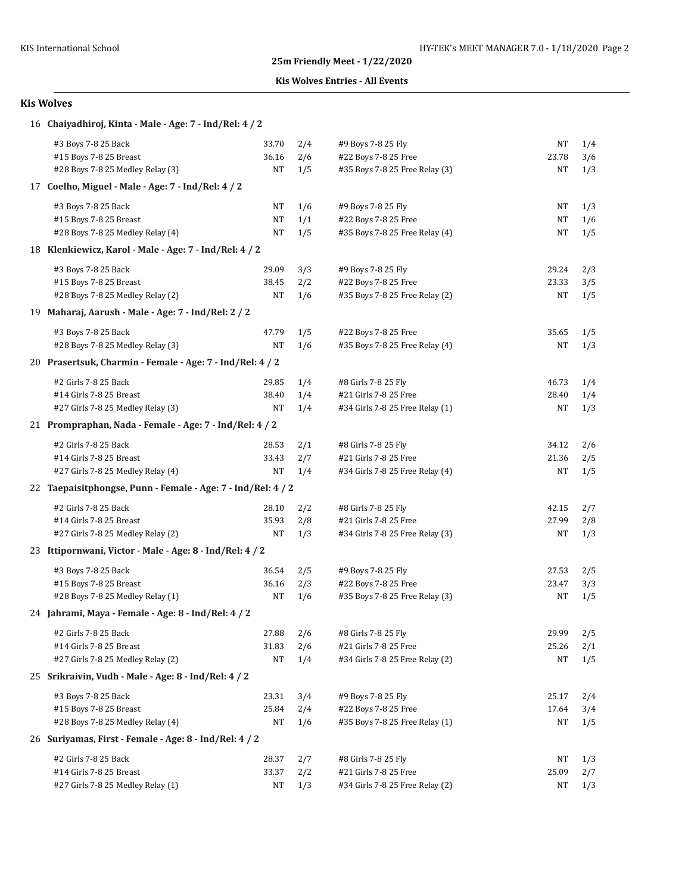## **Kis Wolves Entries - All Events**

| 16 Chaiyadhiroj, Kinta - Male - Age: 7 - Ind/Rel: 4 / 2      |           |     |                                 |       |     |
|--------------------------------------------------------------|-----------|-----|---------------------------------|-------|-----|
| #3 Boys 7-8 25 Back                                          | 33.70     | 2/4 | #9 Boys 7-8 25 Fly              | NΤ    | 1/4 |
| #15 Boys 7-8 25 Breast                                       | 36.16     | 2/6 | #22 Boys 7-8 25 Free            | 23.78 | 3/6 |
| #28 Boys 7-8 25 Medley Relay (3)                             | NT        | 1/5 | #35 Boys 7-8 25 Free Relay (3)  | NΤ    | 1/3 |
| 17 Coelho, Miguel - Male - Age: 7 - Ind/Rel: 4 / 2           |           |     |                                 |       |     |
| #3 Boys 7-8 25 Back                                          | NT        | 1/6 | #9 Boys 7-8 25 Fly              | NΤ    | 1/3 |
| #15 Boys 7-8 25 Breast                                       | NT        | 1/1 | #22 Boys 7-8 25 Free            | NΤ    | 1/6 |
| #28 Boys 7-8 25 Medley Relay (4)                             | <b>NT</b> | 1/5 | #35 Boys 7-8 25 Free Relay (4)  | NT    | 1/5 |
| 18 Klenkiewicz, Karol - Male - Age: 7 - Ind/Rel: 4 / 2       |           |     |                                 |       |     |
| #3 Boys 7-8 25 Back                                          | 29.09     | 3/3 | #9 Boys 7-8 25 Fly              | 29.24 | 2/3 |
| #15 Boys 7-8 25 Breast                                       | 38.45     | 2/2 | #22 Boys 7-8 25 Free            | 23.33 | 3/5 |
| #28 Boys 7-8 25 Medley Relay (2)                             | NT        | 1/6 | #35 Boys 7-8 25 Free Relay (2)  | NΤ    | 1/5 |
| 19 Maharaj, Aarush - Male - Age: 7 - Ind/Rel: 2 / 2          |           |     |                                 |       |     |
| #3 Boys 7-8 25 Back                                          | 47.79     | 1/5 | #22 Boys 7-8 25 Free            | 35.65 | 1/5 |
| #28 Boys 7-8 25 Medley Relay (3)                             | NT        | 1/6 | #35 Boys 7-8 25 Free Relay (4)  | NT    | 1/3 |
| 20 Prasertsuk, Charmin - Female - Age: 7 - Ind/Rel: 4 / 2    |           |     |                                 |       |     |
| #2 Girls 7-8 25 Back                                         | 29.85     | 1/4 | #8 Girls 7-8 25 Fly             | 46.73 | 1/4 |
| #14 Girls 7-8 25 Breast                                      | 38.40     | 1/4 | #21 Girls 7-8 25 Free           | 28.40 | 1/4 |
| #27 Girls 7-8 25 Medley Relay (3)                            | NT        | 1/4 | #34 Girls 7-8 25 Free Relay (1) | NΤ    | 1/3 |
| 21 Prompraphan, Nada - Female - Age: 7 - Ind/Rel: 4 / 2      |           |     |                                 |       |     |
| #2 Girls 7-8 25 Back                                         | 28.53     | 2/1 | #8 Girls 7-8 25 Fly             | 34.12 | 2/6 |
| #14 Girls 7-8 25 Breast                                      | 33.43     | 2/7 | #21 Girls 7-8 25 Free           | 21.36 | 2/5 |
| #27 Girls 7-8 25 Medley Relay (4)                            | NT        | 1/4 | #34 Girls 7-8 25 Free Relay (4) | NΤ    | 1/5 |
| 22 Taepaisitphongse, Punn - Female - Age: 7 - Ind/Rel: 4 / 2 |           |     |                                 |       |     |
| #2 Girls 7-8 25 Back                                         | 28.10     | 2/2 | #8 Girls 7-8 25 Fly             | 42.15 | 2/7 |
| #14 Girls 7-8 25 Breast                                      | 35.93     | 2/8 | #21 Girls 7-8 25 Free           | 27.99 | 2/8 |
| #27 Girls 7-8 25 Medley Relay (2)                            | NT        | 1/3 | #34 Girls 7-8 25 Free Relay (3) | NT    | 1/3 |
| 23 Ittipornwani, Victor - Male - Age: 8 - Ind/Rel: 4 / 2     |           |     |                                 |       |     |
| #3 Boys 7-8 25 Back                                          | 36.54     | 2/5 | #9 Boys 7-8 25 Fly              | 27.53 | 2/5 |
| #15 Boys 7-8 25 Breast                                       | 36.16     | 2/3 | #22 Boys 7-8 25 Free            | 23.47 | 3/3 |
| #28 Boys 7-8 25 Medley Relay (1)                             | NT        | 1/6 | #35 Boys 7-8 25 Free Relay (3)  | NΤ    | 1/5 |
| 24 Jahrami, Maya - Female - Age: 8 - Ind/Rel: 4 / 2          |           |     |                                 |       |     |
| #2 Girls 7-8 25 Back                                         | 27.88     | 2/6 | #8 Girls 7-8 25 Fly             | 29.99 | 2/5 |
| #14 Girls 7-8 25 Breast                                      | 31.83     | 2/6 | #21 Girls 7-8 25 Free           | 25.26 | 2/1 |
| #27 Girls 7-8 25 Medley Relay (2)                            | NT        | 1/4 | #34 Girls 7-8 25 Free Relay (2) | NΤ    | 1/5 |
| 25 Srikraivin, Vudh - Male - Age: 8 - Ind/Rel: 4 / 2         |           |     |                                 |       |     |
| #3 Boys 7-8 25 Back                                          | 23.31     | 3/4 | #9 Boys 7-8 25 Fly              | 25.17 | 2/4 |
| #15 Boys 7-8 25 Breast                                       | 25.84     | 2/4 | #22 Boys 7-8 25 Free            | 17.64 | 3/4 |
| #28 Boys 7-8 25 Medley Relay (4)                             | NT        | 1/6 | #35 Boys 7-8 25 Free Relay (1)  | NΤ    | 1/5 |
| 26 Suriyamas, First - Female - Age: 8 - Ind/Rel: 4 / 2       |           |     |                                 |       |     |
| #2 Girls 7-8 25 Back                                         | 28.37     | 2/7 | #8 Girls 7-8 25 Fly             | NΤ    | 1/3 |
| #14 Girls 7-8 25 Breast                                      | 33.37     | 2/2 | #21 Girls 7-8 25 Free           | 25.09 | 2/7 |
| #27 Girls 7-8 25 Medley Relay (1)                            | NT        | 1/3 | #34 Girls 7-8 25 Free Relay (2) | NΤ    | 1/3 |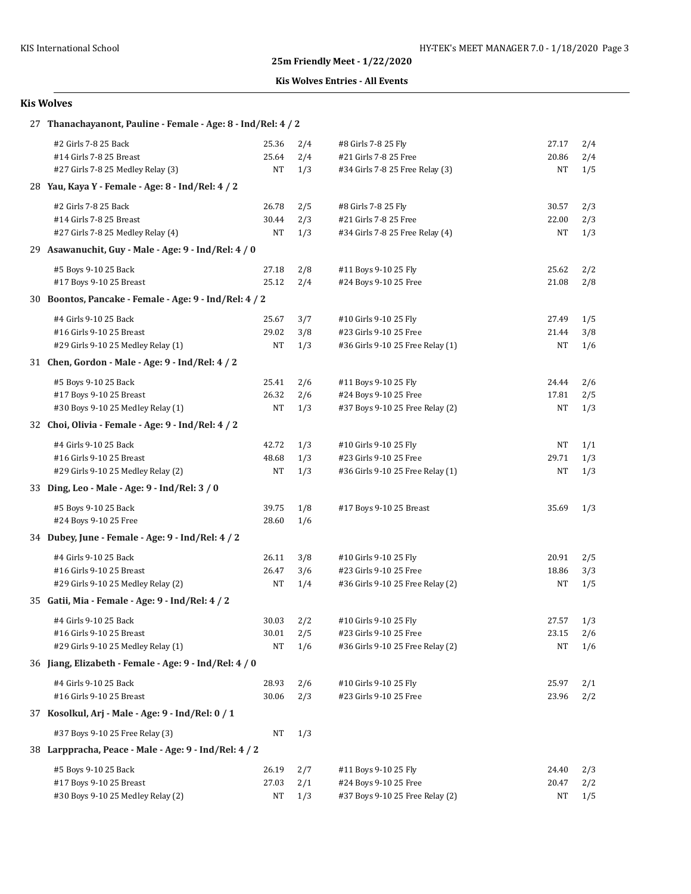## **Kis Wolves Entries - All Events**

| 27 Thanachayanont, Pauline - Female - Age: 8 - Ind/Rel: 4 / 2 |       |     |                                  |       |     |
|---------------------------------------------------------------|-------|-----|----------------------------------|-------|-----|
| #2 Girls 7-8 25 Back                                          | 25.36 | 2/4 | #8 Girls 7-8 25 Fly              | 27.17 | 2/4 |
| #14 Girls 7-8 25 Breast                                       | 25.64 | 2/4 | #21 Girls 7-8 25 Free            | 20.86 | 2/4 |
| #27 Girls 7-8 25 Medley Relay (3)                             | NT    | 1/3 | #34 Girls 7-8 25 Free Relay (3)  | NT    | 1/5 |
| 28 Yau, Kaya Y - Female - Age: 8 - Ind/Rel: 4 / 2             |       |     |                                  |       |     |
| #2 Girls 7-8 25 Back                                          | 26.78 | 2/5 | #8 Girls 7-8 25 Fly              | 30.57 | 2/3 |
| #14 Girls 7-8 25 Breast                                       | 30.44 | 2/3 | #21 Girls 7-8 25 Free            | 22.00 | 2/3 |
| #27 Girls 7-8 25 Medley Relay (4)                             | NT    | 1/3 | #34 Girls 7-8 25 Free Relay (4)  | NT    | 1/3 |
| 29 Asawanuchit, Guy - Male - Age: 9 - Ind/Rel: 4 / 0          |       |     |                                  |       |     |
| #5 Boys 9-10 25 Back                                          | 27.18 | 2/8 | #11 Boys 9-10 25 Fly             | 25.62 | 2/2 |
| #17 Boys 9-10 25 Breast                                       | 25.12 | 2/4 | #24 Boys 9-10 25 Free            | 21.08 | 2/8 |
| 30 Boontos, Pancake - Female - Age: 9 - Ind/Rel: 4 / 2        |       |     |                                  |       |     |
| #4 Girls 9-10 25 Back                                         | 25.67 | 3/7 | #10 Girls 9-10 25 Fly            | 27.49 | 1/5 |
| #16 Girls 9-10 25 Breast                                      | 29.02 | 3/8 | #23 Girls 9-10 25 Free           | 21.44 | 3/8 |
| #29 Girls 9-10 25 Medley Relay (1)                            | NT    | 1/3 | #36 Girls 9-10 25 Free Relay (1) | NT    | 1/6 |
| 31 Chen, Gordon - Male - Age: 9 - Ind/Rel: 4 / 2              |       |     |                                  |       |     |
| #5 Boys 9-10 25 Back                                          | 25.41 | 2/6 | #11 Boys 9-10 25 Fly             | 24.44 | 2/6 |
| #17 Boys 9-10 25 Breast                                       | 26.32 | 2/6 | #24 Boys 9-10 25 Free            | 17.81 | 2/5 |
| #30 Boys 9-10 25 Medley Relay (1)                             | NT    | 1/3 | #37 Boys 9-10 25 Free Relay (2)  | NT    | 1/3 |
| 32 Choi, Olivia - Female - Age: 9 - Ind/Rel: 4 / 2            |       |     |                                  |       |     |
| #4 Girls 9-10 25 Back                                         | 42.72 | 1/3 | #10 Girls 9-10 25 Fly            | NT    | 1/1 |
| #16 Girls 9-10 25 Breast                                      | 48.68 | 1/3 | #23 Girls 9-10 25 Free           | 29.71 | 1/3 |
| #29 Girls 9-10 25 Medley Relay (2)                            | NT    | 1/3 | #36 Girls 9-10 25 Free Relay (1) | NΤ    | 1/3 |
| 33 Ding, Leo - Male - Age: 9 - Ind/Rel: 3 / 0                 |       |     |                                  |       |     |
| #5 Boys 9-10 25 Back                                          | 39.75 | 1/8 | #17 Boys 9-10 25 Breast          | 35.69 | 1/3 |
| #24 Boys 9-10 25 Free                                         | 28.60 | 1/6 |                                  |       |     |
| 34 Dubey, June - Female - Age: 9 - Ind/Rel: 4 / 2             |       |     |                                  |       |     |
| #4 Girls 9-10 25 Back                                         | 26.11 | 3/8 | #10 Girls 9-10 25 Fly            | 20.91 | 2/5 |
| #16 Girls 9-10 25 Breast                                      | 26.47 | 3/6 | #23 Girls 9-10 25 Free           | 18.86 | 3/3 |
| #29 Girls 9-10 25 Medley Relay (2)                            | NT    | 1/4 | #36 Girls 9-10 25 Free Relay (2) | NT    | 1/5 |
| 35 Gatii, Mia - Female - Age: 9 - Ind/Rel: 4 / 2              |       |     |                                  |       |     |
| #4 Girls 9-10 25 Back                                         | 30.03 | 2/2 | #10 Girls 9-10 25 Fly            | 27.57 | 1/3 |
| #16 Girls 9-10 25 Breast                                      | 30.01 | 2/5 | #23 Girls 9-10 25 Free           | 23.15 | 2/6 |
| #29 Girls 9-10 25 Medley Relay (1)                            | NT    | 1/6 | #36 Girls 9-10 25 Free Relay (2) | NT    | 1/6 |
| 36 Jiang, Elizabeth - Female - Age: 9 - Ind/Rel: 4 / 0        |       |     |                                  |       |     |
| #4 Girls 9-10 25 Back                                         | 28.93 | 2/6 | #10 Girls 9-10 25 Fly            | 25.97 | 2/1 |
| #16 Girls 9-10 25 Breast                                      | 30.06 | 2/3 | #23 Girls 9-10 25 Free           | 23.96 | 2/2 |
| 37 Kosolkul, Arj - Male - Age: 9 - Ind/Rel: 0 / 1             |       |     |                                  |       |     |
| #37 Boys 9-10 25 Free Relay (3)                               | NT    | 1/3 |                                  |       |     |
| 38 Larppracha, Peace - Male - Age: 9 - Ind/Rel: 4 / 2         |       |     |                                  |       |     |
| #5 Boys 9-10 25 Back                                          | 26.19 | 2/7 | #11 Boys 9-10 25 Fly             | 24.40 | 2/3 |
| #17 Boys 9-10 25 Breast                                       | 27.03 | 2/1 | #24 Boys 9-10 25 Free            | 20.47 | 2/2 |
| #30 Boys 9-10 25 Medley Relay (2)                             | NT    | 1/3 | #37 Boys 9-10 25 Free Relay (2)  | NΤ    | 1/5 |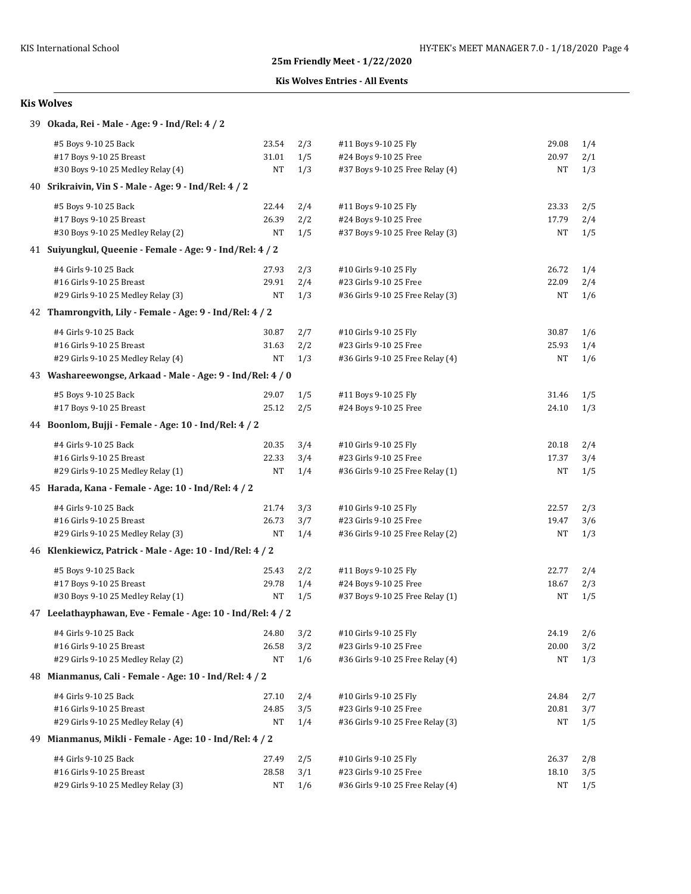## **Kis Wolves Entries - All Events**

|     | 39 Okada, Rei - Male - Age: 9 - Ind/Rel: 4 / 2              |       |     |                                  |       |     |  |  |  |  |
|-----|-------------------------------------------------------------|-------|-----|----------------------------------|-------|-----|--|--|--|--|
|     | #5 Boys 9-10 25 Back                                        | 23.54 | 2/3 | #11 Boys 9-10 25 Fly             | 29.08 | 1/4 |  |  |  |  |
|     | #17 Boys 9-10 25 Breast                                     | 31.01 | 1/5 | #24 Boys 9-10 25 Free            | 20.97 | 2/1 |  |  |  |  |
|     | #30 Boys 9-10 25 Medley Relay (4)                           | NT    | 1/3 | #37 Boys 9-10 25 Free Relay (4)  | NT    | 1/3 |  |  |  |  |
|     | 40 Srikraivin, Vin S - Male - Age: 9 - Ind/Rel: 4 / 2       |       |     |                                  |       |     |  |  |  |  |
|     | #5 Boys 9-10 25 Back                                        | 22.44 | 2/4 | #11 Boys 9-10 25 Fly             | 23.33 | 2/5 |  |  |  |  |
|     | #17 Boys 9-10 25 Breast                                     | 26.39 | 2/2 | #24 Boys 9-10 25 Free            | 17.79 | 2/4 |  |  |  |  |
|     | #30 Boys 9-10 25 Medley Relay (2)                           | NT    | 1/5 | #37 Boys 9-10 25 Free Relay (3)  | NT    | 1/5 |  |  |  |  |
|     | 41 Suivungkul, Queenie - Female - Age: 9 - Ind/Rel: 4 / 2   |       |     |                                  |       |     |  |  |  |  |
|     | #4 Girls 9-10 25 Back                                       | 27.93 | 2/3 | #10 Girls 9-10 25 Fly            | 26.72 | 1/4 |  |  |  |  |
|     | #16 Girls 9-10 25 Breast                                    | 29.91 | 2/4 | #23 Girls 9-10 25 Free           | 22.09 | 2/4 |  |  |  |  |
|     | #29 Girls 9-10 25 Medley Relay (3)                          | NT    | 1/3 | #36 Girls 9-10 25 Free Relay (3) | NT    | 1/6 |  |  |  |  |
|     | 42 Thamrongvith, Lily - Female - Age: 9 - Ind/Rel: 4 / 2    |       |     |                                  |       |     |  |  |  |  |
|     | #4 Girls 9-10 25 Back                                       | 30.87 | 2/7 | #10 Girls 9-10 25 Fly            | 30.87 | 1/6 |  |  |  |  |
|     | #16 Girls 9-10 25 Breast                                    | 31.63 | 2/2 | #23 Girls 9-10 25 Free           | 25.93 | 1/4 |  |  |  |  |
|     | #29 Girls 9-10 25 Medley Relay (4)                          | NT    | 1/3 | #36 Girls 9-10 25 Free Relay (4) | NT    | 1/6 |  |  |  |  |
|     | 43 Washareewongse, Arkaad - Male - Age: 9 - Ind/Rel: 4 / 0  |       |     |                                  |       |     |  |  |  |  |
|     | #5 Boys 9-10 25 Back                                        | 29.07 | 1/5 | #11 Boys 9-10 25 Fly             | 31.46 | 1/5 |  |  |  |  |
|     | #17 Boys 9-10 25 Breast                                     | 25.12 | 2/5 | #24 Boys 9-10 25 Free            | 24.10 | 1/3 |  |  |  |  |
|     | 44 Boonlom, Bujji - Female - Age: 10 - Ind/Rel: 4 / 2       |       |     |                                  |       |     |  |  |  |  |
|     | #4 Girls 9-10 25 Back                                       | 20.35 | 3/4 | #10 Girls 9-10 25 Fly            | 20.18 | 2/4 |  |  |  |  |
|     | #16 Girls 9-10 25 Breast                                    | 22.33 | 3/4 | #23 Girls 9-10 25 Free           | 17.37 | 3/4 |  |  |  |  |
|     | #29 Girls 9-10 25 Medley Relay (1)                          | NT    | 1/4 | #36 Girls 9-10 25 Free Relay (1) | NT    | 1/5 |  |  |  |  |
|     | 45 Harada, Kana - Female - Age: 10 - Ind/Rel: 4 / 2         |       |     |                                  |       |     |  |  |  |  |
|     | #4 Girls 9-10 25 Back                                       | 21.74 | 3/3 | #10 Girls 9-10 25 Fly            | 22.57 | 2/3 |  |  |  |  |
|     | #16 Girls 9-10 25 Breast                                    | 26.73 | 3/7 | #23 Girls 9-10 25 Free           | 19.47 | 3/6 |  |  |  |  |
|     | #29 Girls 9-10 25 Medley Relay (3)                          | NT    | 1/4 | #36 Girls 9-10 25 Free Relay (2) | NT    | 1/3 |  |  |  |  |
|     | 46 Klenkiewicz, Patrick - Male - Age: 10 - Ind/Rel: 4 / 2   |       |     |                                  |       |     |  |  |  |  |
|     | #5 Boys 9-10 25 Back                                        | 25.43 | 2/2 | #11 Boys 9-10 25 Fly             | 22.77 | 2/4 |  |  |  |  |
|     | #17 Boys 9-10 25 Breast                                     | 29.78 | 1/4 | #24 Boys 9-10 25 Free            | 18.67 | 2/3 |  |  |  |  |
|     | #30 Boys 9-10 25 Medley Relay (1)                           | NT    | 1/5 | #37 Boys 9-10 25 Free Relay (1)  | NT    | 1/5 |  |  |  |  |
|     | 47 Leelathayphawan, Eve - Female - Age: 10 - Ind/Rel: 4 / 2 |       |     |                                  |       |     |  |  |  |  |
|     | #4 Girls 9-10 25 Back                                       | 24.80 | 3/2 | #10 Girls 9-10 25 Fly            | 24.19 | 2/6 |  |  |  |  |
|     | #16 Girls 9-10 25 Breast                                    | 26.58 | 3/2 | #23 Girls 9-10 25 Free           | 20.00 | 3/2 |  |  |  |  |
|     | #29 Girls 9-10 25 Medley Relay (2)                          | NT    | 1/6 | #36 Girls 9-10 25 Free Relay (4) | NT    | 1/3 |  |  |  |  |
|     | 48 Mianmanus, Cali - Female - Age: 10 - Ind/Rel: 4 / 2      |       |     |                                  |       |     |  |  |  |  |
|     | #4 Girls 9-10 25 Back                                       | 27.10 | 2/4 | #10 Girls 9-10 25 Fly            | 24.84 | 2/7 |  |  |  |  |
|     | #16 Girls 9-10 25 Breast                                    | 24.85 | 3/5 | #23 Girls 9-10 25 Free           | 20.81 | 3/7 |  |  |  |  |
|     | #29 Girls 9-10 25 Medley Relay (4)                          | NT    | 1/4 | #36 Girls 9-10 25 Free Relay (3) | NT    | 1/5 |  |  |  |  |
| 49. | Mianmanus, Mikli - Female - Age: 10 - Ind/Rel: 4 / 2        |       |     |                                  |       |     |  |  |  |  |
|     | #4 Girls 9-10 25 Back                                       | 27.49 | 2/5 | #10 Girls 9-10 25 Fly            | 26.37 | 2/8 |  |  |  |  |
|     | #16 Girls 9-10 25 Breast                                    | 28.58 | 3/1 | #23 Girls 9-10 25 Free           | 18.10 | 3/5 |  |  |  |  |
|     | #29 Girls 9-10 25 Medley Relay (3)                          | NT    | 1/6 | #36 Girls 9-10 25 Free Relay (4) | NT    | 1/5 |  |  |  |  |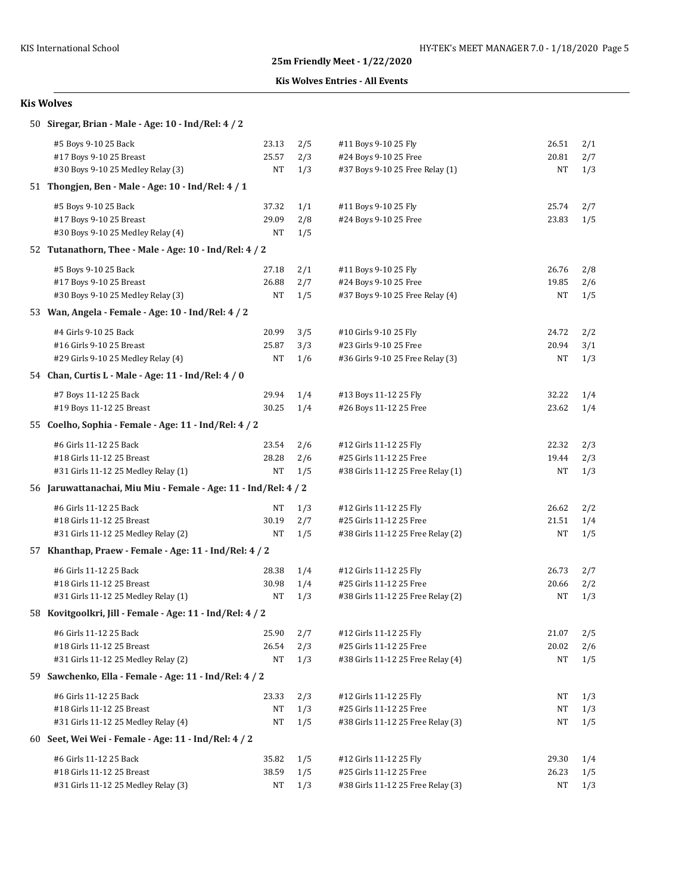#### **Kis Wolves Entries - All Events**

| 50 Siregar, Brian - Male - Age: 10 - Ind/Rel: 4 / 2             |       |     |                                   |       |     |  |  |  |  |
|-----------------------------------------------------------------|-------|-----|-----------------------------------|-------|-----|--|--|--|--|
| #5 Boys 9-10 25 Back                                            | 23.13 | 2/5 | #11 Boys 9-10 25 Fly              | 26.51 | 2/1 |  |  |  |  |
| #17 Boys 9-10 25 Breast                                         | 25.57 | 2/3 | #24 Boys 9-10 25 Free             | 20.81 | 2/7 |  |  |  |  |
| #30 Boys 9-10 25 Medley Relay (3)                               | NT    | 1/3 | #37 Boys 9-10 25 Free Relay (1)   | NΤ    | 1/3 |  |  |  |  |
| 51 Thongien, Ben - Male - Age: 10 - Ind/Rel: 4 / 1              |       |     |                                   |       |     |  |  |  |  |
| #5 Boys 9-10 25 Back                                            | 37.32 | 1/1 | #11 Boys 9-10 25 Fly              | 25.74 | 2/7 |  |  |  |  |
| #17 Boys 9-10 25 Breast                                         | 29.09 | 2/8 | #24 Boys 9-10 25 Free             | 23.83 | 1/5 |  |  |  |  |
| #30 Boys 9-10 25 Medley Relay (4)                               | NT    | 1/5 |                                   |       |     |  |  |  |  |
| 52 Tutanathorn, Thee - Male - Age: 10 - Ind/Rel: 4 / 2          |       |     |                                   |       |     |  |  |  |  |
| #5 Boys 9-10 25 Back                                            | 27.18 | 2/1 | #11 Boys 9-10 25 Fly              | 26.76 | 2/8 |  |  |  |  |
| #17 Boys 9-10 25 Breast                                         | 26.88 | 2/7 | #24 Boys 9-10 25 Free             | 19.85 | 2/6 |  |  |  |  |
| #30 Boys 9-10 25 Medley Relay (3)                               | NT    | 1/5 | #37 Boys 9-10 25 Free Relay (4)   | NΤ    | 1/5 |  |  |  |  |
| 53 Wan, Angela - Female - Age: 10 - Ind/Rel: 4 / 2              |       |     |                                   |       |     |  |  |  |  |
| #4 Girls 9-10 25 Back                                           | 20.99 | 3/5 | #10 Girls 9-10 25 Fly             | 24.72 | 2/2 |  |  |  |  |
| #16 Girls 9-10 25 Breast                                        | 25.87 | 3/3 | #23 Girls 9-10 25 Free            | 20.94 | 3/1 |  |  |  |  |
| #29 Girls 9-10 25 Medley Relay (4)                              | NT    | 1/6 | #36 Girls 9-10 25 Free Relay (3)  | NΤ    | 1/3 |  |  |  |  |
| 54 Chan, Curtis L - Male - Age: 11 - Ind/Rel: 4 / 0             |       |     |                                   |       |     |  |  |  |  |
| #7 Boys 11-12 25 Back                                           | 29.94 | 1/4 | #13 Boys 11-12 25 Fly             | 32.22 | 1/4 |  |  |  |  |
| #19 Boys 11-12 25 Breast                                        | 30.25 | 1/4 | #26 Boys 11-12 25 Free            | 23.62 | 1/4 |  |  |  |  |
| 55 Coelho, Sophia - Female - Age: 11 - Ind/Rel: 4 / 2           |       |     |                                   |       |     |  |  |  |  |
| #6 Girls 11-12 25 Back                                          | 23.54 | 2/6 | #12 Girls 11-12 25 Fly            | 22.32 | 2/3 |  |  |  |  |
| #18 Girls 11-12 25 Breast                                       | 28.28 | 2/6 | #25 Girls 11-12 25 Free           | 19.44 | 2/3 |  |  |  |  |
| #31 Girls 11-12 25 Medley Relay (1)                             | NT    | 1/5 | #38 Girls 11-12 25 Free Relay (1) | NΤ    | 1/3 |  |  |  |  |
| 56 Jaruwattanachai, Miu Miu - Female - Age: 11 - Ind/Rel: 4 / 2 |       |     |                                   |       |     |  |  |  |  |
| #6 Girls 11-12 25 Back                                          | NT    | 1/3 | #12 Girls 11-12 25 Fly            | 26.62 | 2/2 |  |  |  |  |
| #18 Girls 11-12 25 Breast                                       | 30.19 | 2/7 | #25 Girls 11-12 25 Free           | 21.51 | 1/4 |  |  |  |  |
| #31 Girls 11-12 25 Medley Relay (2)                             | NT    | 1/5 | #38 Girls 11-12 25 Free Relay (2) | NΤ    | 1/5 |  |  |  |  |
| 57 Khanthap, Praew - Female - Age: 11 - Ind/Rel: 4 / 2          |       |     |                                   |       |     |  |  |  |  |
| #6 Girls 11-12 25 Back                                          | 28.38 | 1/4 | #12 Girls 11-12 25 Fly            | 26.73 | 2/7 |  |  |  |  |
| #18 Girls 11-12 25 Breast                                       | 30.98 | 1/4 | #25 Girls 11-12 25 Free           | 20.66 | 2/2 |  |  |  |  |
| #31 Girls 11-12 25 Medley Relay (1)                             | NT    | 1/3 | #38 Girls 11-12 25 Free Relay (2) | NΤ    | 1/3 |  |  |  |  |
| 58 Kovitgoolkri, Jill - Female - Age: 11 - Ind/Rel: 4 / 2       |       |     |                                   |       |     |  |  |  |  |
| #6 Girls 11-12 25 Back                                          | 25.90 | 2/7 | #12 Girls 11-12 25 Fly            | 21.07 | 2/5 |  |  |  |  |
| #18 Girls 11-12 25 Breast                                       | 26.54 | 2/3 | #25 Girls 11-12 25 Free           | 20.02 | 2/6 |  |  |  |  |
| #31 Girls 11-12 25 Medley Relay (2)                             | NT    | 1/3 | #38 Girls 11-12 25 Free Relay (4) | NΤ    | 1/5 |  |  |  |  |
| 59 Sawchenko, Ella - Female - Age: 11 - Ind/Rel: 4 / 2          |       |     |                                   |       |     |  |  |  |  |
| #6 Girls 11-12 25 Back                                          | 23.33 | 2/3 | #12 Girls 11-12 25 Fly            | NT    | 1/3 |  |  |  |  |
| #18 Girls 11-12 25 Breast                                       | NΤ    | 1/3 | #25 Girls 11-12 25 Free           | NΤ    | 1/3 |  |  |  |  |
| #31 Girls 11-12 25 Medley Relay (4)                             | NT    | 1/5 | #38 Girls 11-12 25 Free Relay (3) | NΤ    | 1/5 |  |  |  |  |
| 60 Seet, Wei Wei - Female - Age: 11 - Ind/Rel: 4 / 2            |       |     |                                   |       |     |  |  |  |  |
| #6 Girls 11-12 25 Back                                          | 35.82 | 1/5 | #12 Girls 11-12 25 Fly            | 29.30 | 1/4 |  |  |  |  |
| #18 Girls 11-12 25 Breast                                       | 38.59 | 1/5 | #25 Girls 11-12 25 Free           | 26.23 | 1/5 |  |  |  |  |
| #31 Girls 11-12 25 Medley Relay (3)                             | NT    | 1/3 | #38 Girls 11-12 25 Free Relay (3) | NΤ    | 1/3 |  |  |  |  |